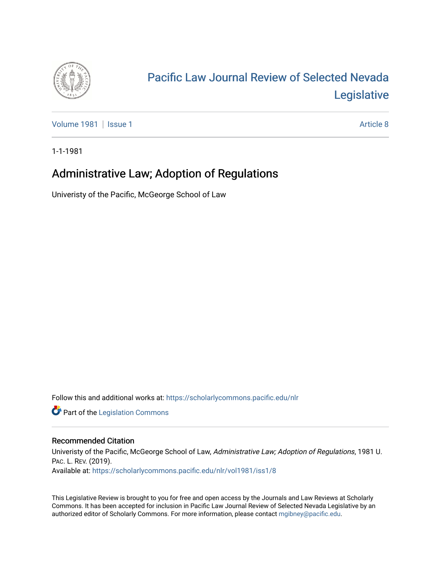

# [Pacific Law Journal Review of Selected Nevada](https://scholarlycommons.pacific.edu/nlr)  [Legislative](https://scholarlycommons.pacific.edu/nlr)

[Volume 1981](https://scholarlycommons.pacific.edu/nlr/vol1981) | [Issue 1](https://scholarlycommons.pacific.edu/nlr/vol1981/iss1) Article 8

1-1-1981

## Administrative Law; Adoption of Regulations

Univeristy of the Pacific, McGeorge School of Law

Follow this and additional works at: [https://scholarlycommons.pacific.edu/nlr](https://scholarlycommons.pacific.edu/nlr?utm_source=scholarlycommons.pacific.edu%2Fnlr%2Fvol1981%2Fiss1%2F8&utm_medium=PDF&utm_campaign=PDFCoverPages) 

**Part of the [Legislation Commons](http://network.bepress.com/hgg/discipline/859?utm_source=scholarlycommons.pacific.edu%2Fnlr%2Fvol1981%2Fiss1%2F8&utm_medium=PDF&utm_campaign=PDFCoverPages)** 

#### Recommended Citation

Univeristy of the Pacific, McGeorge School of Law, Administrative Law; Adoption of Regulations, 1981 U. PAC. L. REV. (2019). Available at: [https://scholarlycommons.pacific.edu/nlr/vol1981/iss1/8](https://scholarlycommons.pacific.edu/nlr/vol1981/iss1/8?utm_source=scholarlycommons.pacific.edu%2Fnlr%2Fvol1981%2Fiss1%2F8&utm_medium=PDF&utm_campaign=PDFCoverPages) 

This Legislative Review is brought to you for free and open access by the Journals and Law Reviews at Scholarly Commons. It has been accepted for inclusion in Pacific Law Journal Review of Selected Nevada Legislative by an authorized editor of Scholarly Commons. For more information, please contact [mgibney@pacific.edu](mailto:mgibney@pacific.edu).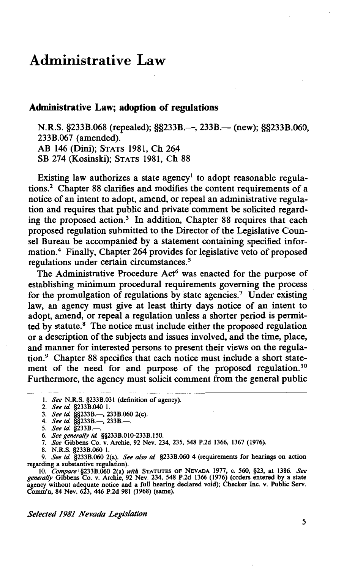### **Administrative Law**

#### **Administrative Law; adoption of regulations**

N.R.S. §233B.068 (repealed); §§233B.—, 233B.— (new); §§233B.060, 233B.067 (amended).- AB 146 (Dini); STATS 1981, Ch 264 SB 274 (Kosinski); STATS 1981, Ch 88

Existing law authorizes a state agency' to adopt reasonable regulations.2 Chapter 88 clarifies and modifies the content requirements of a notice of an intent to adopt, amend, or repeal an administrative regulation and requires that public and private comment be solicited regarding the proposed action.<sup>3</sup> In addition, Chapter 88 requires that each proposed regulation submitted to the Director of the Legislative Counsel Bureau be accompanied by a statement containing specified information.4 Finally, Chapter 264 provides for legislative veto of proposed regulations under certain circumstances. *<sup>5</sup>*

The Administrative Procedure Act<sup>6</sup> was enacted for the purpose of establishing minimum procedural requirements governing the process for the promulgation of regulations by state agencies.<sup>7</sup> Under existing law, an agency must give at least thirty days notice of an intent to adopt, amend, or repeal a regulation unless a shorter period is permitted by statute.<sup>8</sup> The notice must include either the proposed regulation or a description of the subjects and issues involved, and the time, place, and manner for interested persons to present their views on the regulation.<sup>9</sup> Chapter 88 specifies that each notice must include a short statement of the need for and purpose of the proposed regulation. 10 Furthermore, the agency must solicit comment from the general public

*Selected 1981 Nevada Legislation* 

<sup>1.</sup> *See* N.R.S. §233B.031 (definition of agency).

<sup>2.</sup> *See id* §233B.040 1.

<sup>3.</sup> *See id* §§233B.-, 233B.060 2(c).

<sup>4.</sup> *See id.* §§233B.—, 233B.—.

<sup>5.</sup> See id. §233B.-

<sup>6.</sup> *See generally id* §§233B.OI0-233B.I50.

<sup>7.</sup> *See* Gibbens Co. v. Archie, 92 Nev. 234, 235, 548 P.2d 1366, 1367 (1976).

<sup>8.</sup> N.R.S. §233B.060 1.

<sup>9.</sup> *See id* §233B.060 2(a). *See also id* §233B.060 4 (requirements for hearings on action regarding a substantive regulation).

<sup>10.</sup> *Compare\§233B.060* 2(a) *with* STATUTES OF NEVADA 1977, C. 560, §23, at 1386. *See generally* Gibbens Co. v. Archie, 92 Nev. 234, 548 P.2d 1366 (1976) (orders entered by a state agency without adequate notice and a full hearing declared void); Checker Inc. v. Public Serv. Comm'n, 84 Nev. 623, 446 P.2d 981 (1968) (same).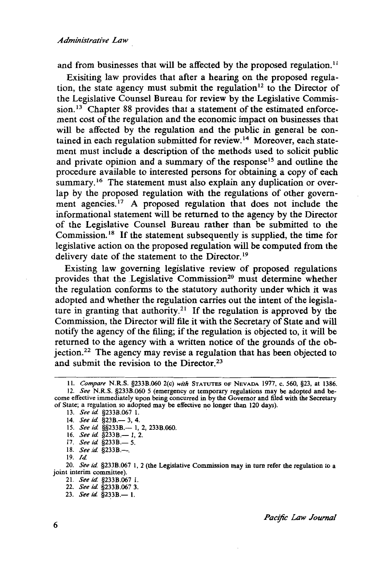and from businesses that will be affected by the proposed regulation.<sup>11</sup>

Exisiting law provides that after a hearing on the proposed regulation, the state agency must submit the regulation 12 to the Director of the Legislative Counsel Bureau for review by the Legislative Commission.<sup>13</sup> Chapter 88 provides that a statement of the estimated enforcement cost of the regulation and the economic impact on businesses that will be affected by the regulation and the public in general be contained in each regulation submitted for review.<sup>14</sup> Moreover, each statement must include a description of the methods used to solicit public and private opinion and a summary of the response<sup>15</sup> and outline the procedure available to interested persons for obtaining a copy of each summary.<sup>16</sup> The statement must also explain any duplication or overlap by the proposed regulation with the regulations of other government agencies.<sup>17</sup> A proposed regulation that does not include the informational statement will be returned to the agency by the Director of the Legislative Counsel Bureau rather than be submitted to the Commission. 18 If the statement subsequently is supplied, the time for legislative action on the proposed regulation will be computed from the delivery date of the statement to the Director.<sup>19</sup>

Existing law governing legislative review of proposed regulations provides that the Legislative Commission<sup>20</sup> must determine whether the regulation conforms to the statutory authority under which it was adopted and whether the regulation carries out the intent of the legislature in granting that authority.<sup>21</sup> If the regulation is approved by the Commission, the Director will file it with the Secretary of State and will notify the agency of the filing; if the regulation is objected to, it will be returned to the agency with a written notice of the grounds of the objection.22 The agency may revise a regulation that has been objected to and submit the revision to the Director.<sup>23</sup>

- 15. *See id.* §§233B.— 1, 2, 233B.060.
- 16. *See id.* §233B.— 1, 2.
- 17. *See id.* §233B.- 5.
- 18. *See id.* §233B.-

- 21. *See id* §233B.067 l.
- 22. *See id* §233B.067 3.
- 23. *See id.* §233B.— 1.

*Pactfic Law Journal* 

ll. *Compare* N.R.S. §233B.060 2(c) *with* STATUTES OF NEVADA 1977, c. 560, §23, at 1386.

<sup>12.</sup> *See* N.R.S. §233B.060 *5* (emergency or temporary regulations may be adopted and become effective immediately upon being concurred in by the Governor and filed with the Secretary of State; a regulation so adopted may be effective no longer than 120 days).

<sup>13.</sup> *See id.* §233B.067 1.

<sup>14.</sup> *See id.* §23B.— 3, 4.

<sup>19.</sup> *ld* 

<sup>20.</sup> *See id* §233B.067 l, 2 (the Legislative Commission may in tum refer the regulation to a joint interim committee).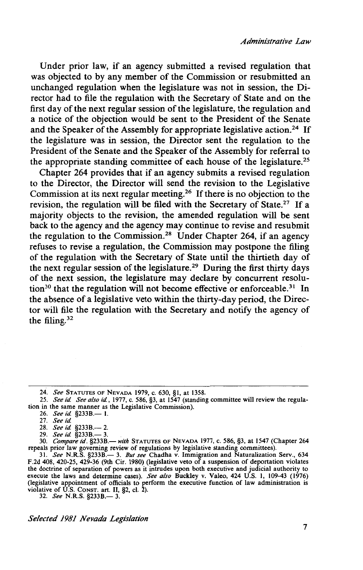Under prior law, if an agency submitted a revised regulation that was objected to by any member of the Commission or resubmitted an unchanged regulation when the legislature was not in session, the Director had to file the regulation with the Secretary of State and on the first day of the next regular session of the legislature, the regulation and a notice of the objection would be sent to the President of the Senate and the Speaker of the Assembly for appropriate legislative action.<sup>24</sup> If the legislature was in session, the Director sent the regulation to the President of the Senate and the Speaker of the Assembly for referral to the appropriate standing committee of each house of the legislature.25

Chapter 264 provides that if an agency submits a revised regulation to the Director, the Director will send the revision to the Legislative Commission at its next regular meeting.26 If there is no objection to the revision, the regulation will be filed with the Secretary of State.<sup>27</sup> If a majority objects to the revision, the amended regulation will be sent back to the agency and the agency may continue to revise and resubmit the regulation to the Commission.28 Under Chapter 264, if an agency refuses to revise a regulation, the Commission may postpone the filing of the regulation with the Secretary of State until the thirtieth day of the next regular session of the legislature.29 During the first thjrty days of the next session, the legislature may declare by concurrent resolution<sup>30</sup> that the regulation will not become effective or enforceable.<sup>31</sup> In the absence of a legislative veto within the thirty-day period, the Director will file the regulation with the Secretary and notify the agency of the filing. <sup>32</sup>

*Selected 1981 Nevada Legislation* 

<sup>24.</sup> *See* STATUTES OF NEVADA 1979, C. 630, §1, at 1358.

<sup>25.</sup> *See id. See also id.*, 1977, c. 586, §3, at 1547 (standing committee will review the regulation in the same manner as the Legislative Commission).

<sup>26.</sup> *See id.* §233B.-1.

<sup>27.</sup> *See id* 

<sup>28.</sup> *See id.* §233B.-- 2.

<sup>29.</sup> *See id.* §233B.— 3.

<sup>30.</sup> *Compare id.* §233B.- *with* STATUTES OF NEVADA 1977, c. 586, §3, at 1547 (Chapter 264 repeals prior law governing review of regulations by legislative standing committees).

<sup>31.</sup> *See* N.R.S. §233B.- 3. *But see* Chadha v. Immigration and Naturalization Serv., 634 F.2d 408, 420-25, 429-36 (9th Cir. 1980) (legislative veto of a suspension of deportation violates the doctrine of separation of powers as it intrudes upon both executive and judicial authority to execute the laws and determine cases). *See also* Buckley v. Valeo, 424 U.S. 1, 109-43 (1976) (legislative appointment of officials to perform the executive function of law administration is violative of U.S. CONST. art. II, §2, cl. 2).<br>32. *See* N.R.S. §233B.— 3.